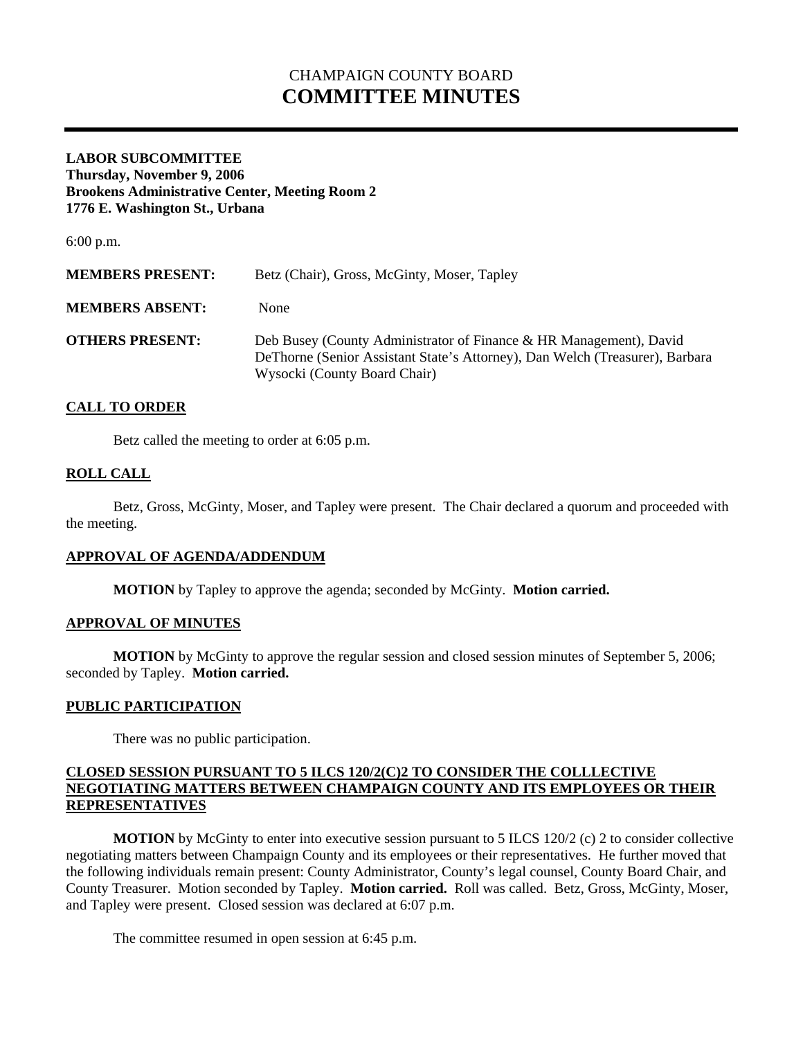# CHAMPAIGN COUNTY BOARD **COMMITTEE MINUTES**

## **LABOR SUBCOMMITTEE Thursday, November 9, 2006 Brookens Administrative Center, Meeting Room 2 1776 E. Washington St., Urbana**

6:00 p.m.

| <b>MEMBERS PRESENT:</b> | Betz (Chair), Gross, McGinty, Moser, Tapley                                                                                                                                         |
|-------------------------|-------------------------------------------------------------------------------------------------------------------------------------------------------------------------------------|
| <b>MEMBERS ABSENT:</b>  | None                                                                                                                                                                                |
| <b>OTHERS PRESENT:</b>  | Deb Busey (County Administrator of Finance & HR Management), David<br>De Thorne (Senior Assistant State's Attorney), Dan Welch (Treasurer), Barbara<br>Wysocki (County Board Chair) |

# **CALL TO ORDER**

Betz called the meeting to order at 6:05 p.m.

## **ROLL CALL**

 Betz, Gross, McGinty, Moser, and Tapley were present. The Chair declared a quorum and proceeded with the meeting.

#### **APPROVAL OF AGENDA/ADDENDUM**

 **MOTION** by Tapley to approve the agenda; seconded by McGinty. **Motion carried.** 

#### **APPROVAL OF MINUTES**

**MOTION** by McGinty to approve the regular session and closed session minutes of September 5, 2006; seconded by Tapley. **Motion carried.** 

## **PUBLIC PARTICIPATION**

There was no public participation.

# **CLOSED SESSION PURSUANT TO 5 ILCS 120/2(C)2 TO CONSIDER THE COLLLECTIVE NEGOTIATING MATTERS BETWEEN CHAMPAIGN COUNTY AND ITS EMPLOYEES OR THEIR REPRESENTATIVES**

**MOTION** by McGinty to enter into executive session pursuant to 5 ILCS 120/2 (c) 2 to consider collective negotiating matters between Champaign County and its employees or their representatives. He further moved that the following individuals remain present: County Administrator, County's legal counsel, County Board Chair, and County Treasurer. Motion seconded by Tapley. **Motion carried.** Roll was called. Betz, Gross, McGinty, Moser, and Tapley were present. Closed session was declared at 6:07 p.m.

The committee resumed in open session at 6:45 p.m.